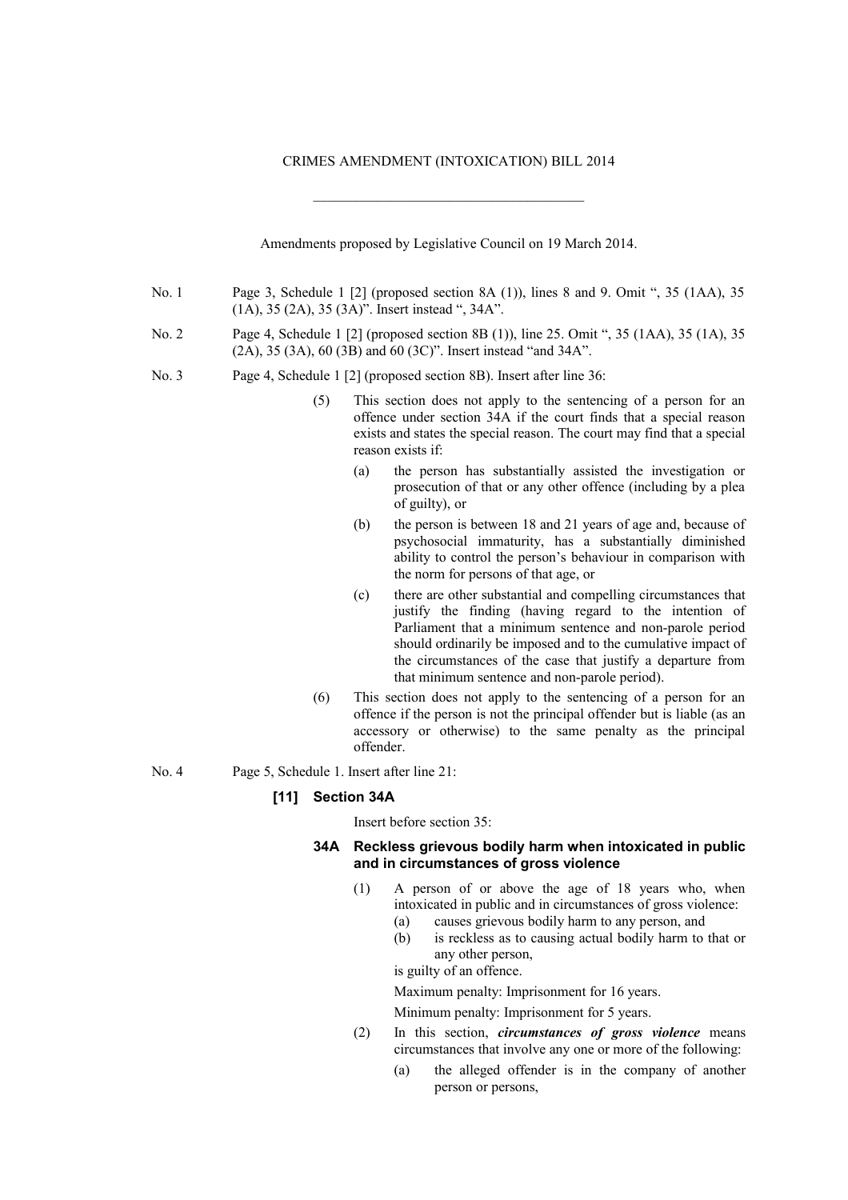## CRIMES AMENDMENT (INTOXICATION) BILL 2014

 $\mathcal{L}_\text{max}$  and  $\mathcal{L}_\text{max}$  and  $\mathcal{L}_\text{max}$  and  $\mathcal{L}_\text{max}$ 

Amendments proposed by Legislative Council on 19 March 2014. No. 1 Page 3, Schedule 1 [2] (proposed section 8A (1)), lines 8 and 9. Omit ", 35 (1AA), 35 (1A), 35 (2A), 35 (3A)". Insert instead ", 34A". No. 2 Page 4, Schedule 1 [2] (proposed section 8B (1)), line 25. Omit ", 35 (1AA), 35 (1A), 35 (2A), 35 (3A), 60 (3B) and 60 (3C)". Insert instead "and 34A". No. 3 Page 4, Schedule 1 [2] (proposed section 8B). Insert after line 36: (5) This section does not apply to the sentencing of a person for an offence under section 34A if the court finds that a special reason exists and states the special reason. The court may find that a special reason exists if: (a) the person has substantially assisted the investigation or prosecution of that or any other offence (including by a plea of guilty), or (b) the person is between 18 and 21 years of age and, because of psychosocial immaturity, has a substantially diminished ability to control the person's behaviour in comparison with the norm for persons of that age, or (c) there are other substantial and compelling circumstances that justify the finding (having regard to the intention of Parliament that a minimum sentence and non-parole period should ordinarily be imposed and to the cumulative impact of the circumstances of the case that justify a departure from that minimum sentence and non-parole period). (6) This section does not apply to the sentencing of a person for an offence if the person is not the principal offender but is liable (as an accessory or otherwise) to the same penalty as the principal offender.

No. 4 Page 5, Schedule 1. Insert after line 21:

## **[11] Section 34A**

Insert before section 35:

## **34A Reckless grievous bodily harm when intoxicated in public and in circumstances of gross violence**

- (1) A person of or above the age of 18 years who, when intoxicated in public and in circumstances of gross violence:
	- (a) causes grievous bodily harm to any person, and
	- (b) is reckless as to causing actual bodily harm to that or any other person,

is guilty of an offence.

Maximum penalty: Imprisonment for 16 years.

Minimum penalty: Imprisonment for 5 years.

- (2) In this section, *circumstances of gross violence* means circumstances that involve any one or more of the following:
	- (a) the alleged offender is in the company of another person or persons,